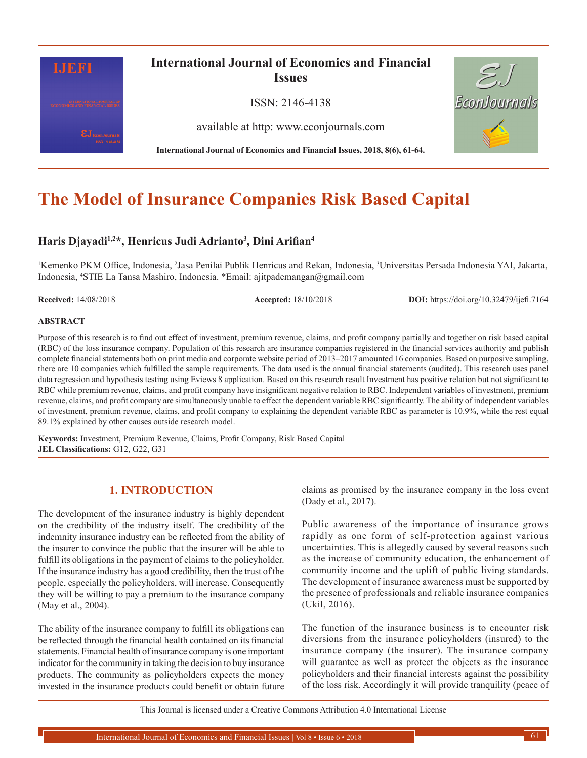

# **The Model of Insurance Companies Risk Based Capital**

# **Haris Djayadi1,2\*, Henricus Judi Adrianto3 , Dini Arifian<sup>4</sup>**

<sup>1</sup>Kemenko PKM Office, Indonesia, <sup>2</sup>Jasa Penilai Publik Henricus and Rekan, Indonesia, <sup>3</sup>Universitas Persada Indonesia YAI, Jakarta, Indonesia, <sup>4</sup> STIE La Tansa Mashiro, Indonesia. \*Email: ajitpademangan@gmail.com

**Received:** 14/08/2018 **Accepted:** 18/10/2018 **DOI:** https://doi.org/10.32479/ijefi.7164

#### **ABSTRACT**

Purpose of this research is to find out effect of investment, premium revenue, claims, and profit company partially and together on risk based capital (RBC) of the loss insurance company. Population of this research are insurance companies registered in the financial services authority and publish complete financial statements both on print media and corporate website period of 2013–2017 amounted 16 companies. Based on purposive sampling, there are 10 companies which fulfilled the sample requirements. The data used is the annual financial statements (audited). This research uses panel data regression and hypothesis testing using Eviews 8 application. Based on this research result Investment has positive relation but not significant to RBC while premium revenue, claims, and profit company have insignificant negative relation to RBC. Independent variables of investment, premium revenue, claims, and profit company are simultaneously unable to effect the dependent variable RBC significantly. The ability of independent variables of investment, premium revenue, claims, and profit company to explaining the dependent variable RBC as parameter is 10.9%, while the rest equal 89.1% explained by other causes outside research model.

**Keywords:** Investment, Premium Revenue, Claims, Profit Company, Risk Based Capital **JEL Classifications:** G12, G22, G31

# **1. INTRODUCTION**

The development of the insurance industry is highly dependent on the credibility of the industry itself. The credibility of the indemnity insurance industry can be reflected from the ability of the insurer to convince the public that the insurer will be able to fulfill its obligations in the payment of claims to the policyholder. If the insurance industry has a good credibility, then the trust of the people, especially the policyholders, will increase. Consequently they will be willing to pay a premium to the insurance company (May et al., 2004).

The ability of the insurance company to fulfill its obligations can be reflected through the financial health contained on its financial statements. Financial health of insurance company is one important indicator for the community in taking the decision to buy insurance products. The community as policyholders expects the money invested in the insurance products could benefit or obtain future claims as promised by the insurance company in the loss event (Dady et al., 2017).

Public awareness of the importance of insurance grows rapidly as one form of self-protection against various uncertainties. This is allegedly caused by several reasons such as the increase of community education, the enhancement of community income and the uplift of public living standards. The development of insurance awareness must be supported by the presence of professionals and reliable insurance companies (Ukil, 2016).

The function of the insurance business is to encounter risk diversions from the insurance policyholders (insured) to the insurance company (the insurer). The insurance company will guarantee as well as protect the objects as the insurance policyholders and their financial interests against the possibility of the loss risk. Accordingly it will provide tranquility (peace of

This Journal is licensed under a Creative Commons Attribution 4.0 International License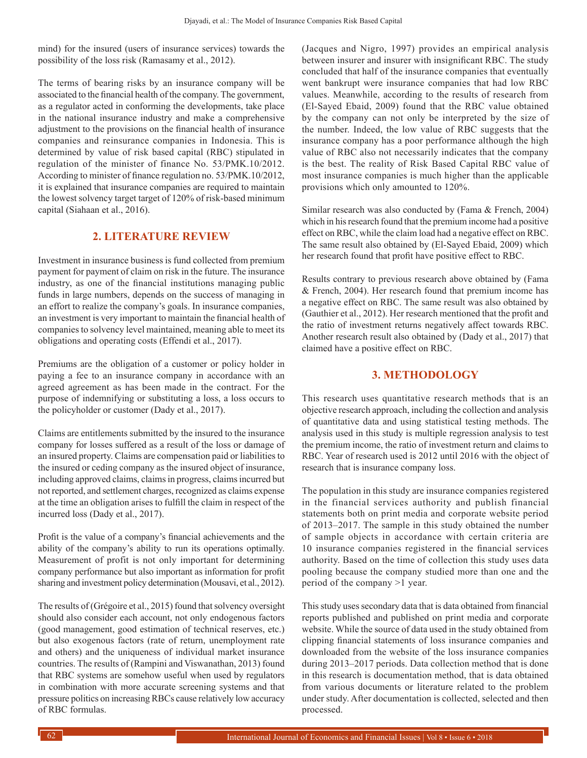mind) for the insured (users of insurance services) towards the possibility of the loss risk (Ramasamy et al., 2012).

The terms of bearing risks by an insurance company will be associated to the financial health of the company. The government, as a regulator acted in conforming the developments, take place in the national insurance industry and make a comprehensive adjustment to the provisions on the financial health of insurance companies and reinsurance companies in Indonesia. This is determined by value of risk based capital (RBC) stipulated in regulation of the minister of finance No. 53/PMK.10/2012. According to minister of finance regulation no. 53/PMK.10/2012, it is explained that insurance companies are required to maintain the lowest solvency target target of 120% of risk-based minimum capital (Siahaan et al., 2016).

## **2. LITERATURE REVIEW**

Investment in insurance business is fund collected from premium payment for payment of claim on risk in the future. The insurance industry, as one of the financial institutions managing public funds in large numbers, depends on the success of managing in an effort to realize the company's goals. In insurance companies, an investment is very important to maintain the financial health of companies to solvency level maintained, meaning able to meet its obligations and operating costs (Effendi et al., 2017).

Premiums are the obligation of a customer or policy holder in paying a fee to an insurance company in accordance with an agreed agreement as has been made in the contract. For the purpose of indemnifying or substituting a loss, a loss occurs to the policyholder or customer (Dady et al., 2017).

Claims are entitlements submitted by the insured to the insurance company for losses suffered as a result of the loss or damage of an insured property. Claims are compensation paid or liabilities to the insured or ceding company as the insured object of insurance, including approved claims, claims in progress, claims incurred but not reported, and settlement charges, recognized as claims expense at the time an obligation arises to fulfill the claim in respect of the incurred loss (Dady et al., 2017).

Profit is the value of a company's financial achievements and the ability of the company's ability to run its operations optimally. Measurement of profit is not only important for determining company performance but also important as information for profit sharing and investment policy determination (Mousavi, et al., 2012).

The results of (Grégoire et al., 2015) found that solvency oversight should also consider each account, not only endogenous factors (good management, good estimation of technical reserves, etc.) but also exogenous factors (rate of return, unemployment rate and others) and the uniqueness of individual market insurance countries. The results of (Rampini and Viswanathan, 2013) found that RBC systems are somehow useful when used by regulators in combination with more accurate screening systems and that pressure politics on increasing RBCs cause relatively low accuracy of RBC formulas.

(Jacques and Nigro, 1997) provides an empirical analysis between insurer and insurer with insignificant RBC. The study concluded that half of the insurance companies that eventually went bankrupt were insurance companies that had low RBC values. Meanwhile, according to the results of research from (El-Sayed Ebaid, 2009) found that the RBC value obtained by the company can not only be interpreted by the size of the number. Indeed, the low value of RBC suggests that the insurance company has a poor performance although the high value of RBC also not necessarily indicates that the company is the best. The reality of Risk Based Capital RBC value of most insurance companies is much higher than the applicable provisions which only amounted to 120%.

Similar research was also conducted by (Fama & French, 2004) which in his research found that the premium income had a positive effect on RBC, while the claim load had a negative effect on RBC. The same result also obtained by (El-Sayed Ebaid, 2009) which her research found that profit have positive effect to RBC.

Results contrary to previous research above obtained by (Fama & French, 2004). Her research found that premium income has a negative effect on RBC. The same result was also obtained by (Gauthier et al., 2012). Her research mentioned that the profit and the ratio of investment returns negatively affect towards RBC. Another research result also obtained by (Dady et al., 2017) that claimed have a positive effect on RBC.

## **3. METHODOLOGY**

This research uses quantitative research methods that is an objective research approach, including the collection and analysis of quantitative data and using statistical testing methods. The analysis used in this study is multiple regression analysis to test the premium income, the ratio of investment return and claims to RBC. Year of research used is 2012 until 2016 with the object of research that is insurance company loss.

The population in this study are insurance companies registered in the financial services authority and publish financial statements both on print media and corporate website period of 2013–2017. The sample in this study obtained the number of sample objects in accordance with certain criteria are 10 insurance companies registered in the financial services authority. Based on the time of collection this study uses data pooling because the company studied more than one and the period of the company >1 year.

This study uses secondary data that is data obtained from financial reports published and published on print media and corporate website. While the source of data used in the study obtained from clipping financial statements of loss insurance companies and downloaded from the website of the loss insurance companies during 2013–2017 periods. Data collection method that is done in this research is documentation method, that is data obtained from various documents or literature related to the problem under study. After documentation is collected, selected and then processed.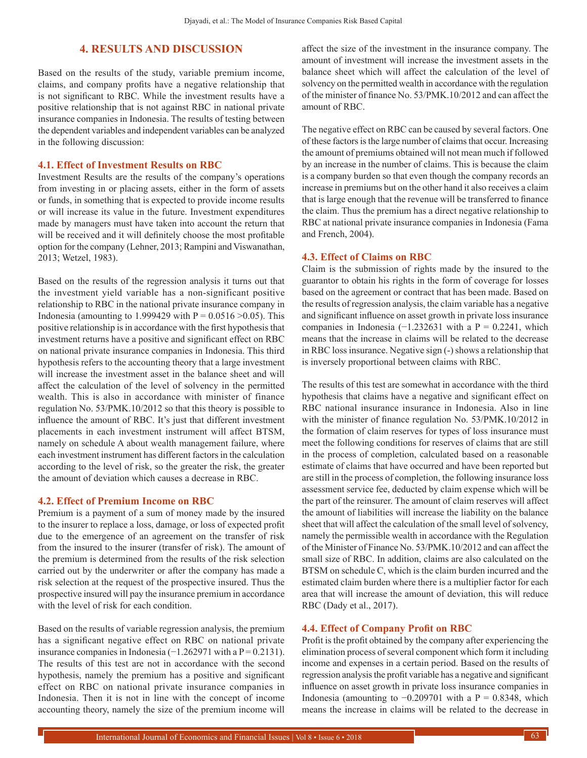## **4. RESULTS AND DISCUSSION**

Based on the results of the study, variable premium income, claims, and company profits have a negative relationship that is not significant to RBC. While the investment results have a positive relationship that is not against RBC in national private insurance companies in Indonesia. The results of testing between the dependent variables and independent variables can be analyzed in the following discussion:

#### **4.1. Effect of Investment Results on RBC**

Investment Results are the results of the company's operations from investing in or placing assets, either in the form of assets or funds, in something that is expected to provide income results or will increase its value in the future. Investment expenditures made by managers must have taken into account the return that will be received and it will definitely choose the most profitable option for the company (Lehner, 2013; Rampini and Viswanathan, 2013; Wetzel, 1983).

Based on the results of the regression analysis it turns out that the investment yield variable has a non-significant positive relationship to RBC in the national private insurance company in Indonesia (amounting to 1.999429 with  $P = 0.0516 > 0.05$ ). This positive relationship is in accordance with the first hypothesis that investment returns have a positive and significant effect on RBC on national private insurance companies in Indonesia. This third hypothesis refers to the accounting theory that a large investment will increase the investment asset in the balance sheet and will affect the calculation of the level of solvency in the permitted wealth. This is also in accordance with minister of finance regulation No. 53/PMK.10/2012 so that this theory is possible to influence the amount of RBC. It's just that different investment placements in each investment instrument will affect BTSM, namely on schedule A about wealth management failure, where each investment instrument has different factors in the calculation according to the level of risk, so the greater the risk, the greater the amount of deviation which causes a decrease in RBC.

### **4.2. Effect of Premium Income on RBC**

Premium is a payment of a sum of money made by the insured to the insurer to replace a loss, damage, or loss of expected profit due to the emergence of an agreement on the transfer of risk from the insured to the insurer (transfer of risk). The amount of the premium is determined from the results of the risk selection carried out by the underwriter or after the company has made a risk selection at the request of the prospective insured. Thus the prospective insured will pay the insurance premium in accordance with the level of risk for each condition.

Based on the results of variable regression analysis, the premium has a significant negative effect on RBC on national private insurance companies in Indonesia ( $-1.262971$  with a P = 0.2131). The results of this test are not in accordance with the second hypothesis, namely the premium has a positive and significant effect on RBC on national private insurance companies in Indonesia. Then it is not in line with the concept of income accounting theory, namely the size of the premium income will affect the size of the investment in the insurance company. The amount of investment will increase the investment assets in the balance sheet which will affect the calculation of the level of solvency on the permitted wealth in accordance with the regulation of the minister of finance No. 53/PMK.10/2012 and can affect the amount of RBC.

The negative effect on RBC can be caused by several factors. One of these factors is the large number of claims that occur. Increasing the amount of premiums obtained will not mean much if followed by an increase in the number of claims. This is because the claim is a company burden so that even though the company records an increase in premiums but on the other hand it also receives a claim that is large enough that the revenue will be transferred to finance the claim. Thus the premium has a direct negative relationship to RBC at national private insurance companies in Indonesia (Fama and French, 2004).

#### **4.3. Effect of Claims on RBC**

Claim is the submission of rights made by the insured to the guarantor to obtain his rights in the form of coverage for losses based on the agreement or contract that has been made. Based on the results of regression analysis, the claim variable has a negative and significant influence on asset growth in private loss insurance companies in Indonesia (−1.232631 with a  $P = 0.2241$ , which means that the increase in claims will be related to the decrease in RBC loss insurance. Negative sign (-) shows a relationship that is inversely proportional between claims with RBC.

The results of this test are somewhat in accordance with the third hypothesis that claims have a negative and significant effect on RBC national insurance insurance in Indonesia. Also in line with the minister of finance regulation No. 53/PMK.10/2012 in the formation of claim reserves for types of loss insurance must meet the following conditions for reserves of claims that are still in the process of completion, calculated based on a reasonable estimate of claims that have occurred and have been reported but are still in the process of completion, the following insurance loss assessment service fee, deducted by claim expense which will be the part of the reinsurer. The amount of claim reserves will affect the amount of liabilities will increase the liability on the balance sheet that will affect the calculation of the small level of solvency, namely the permissible wealth in accordance with the Regulation of the Minister of Finance No. 53/PMK.10/2012 and can affect the small size of RBC. In addition, claims are also calculated on the BTSM on schedule C, which is the claim burden incurred and the estimated claim burden where there is a multiplier factor for each area that will increase the amount of deviation, this will reduce RBC (Dady et al., 2017).

#### **4.4. Effect of Company Profit on RBC**

Profit is the profit obtained by the company after experiencing the elimination process of several component which form it including income and expenses in a certain period. Based on the results of regression analysis the profit variable has a negative and significant influence on asset growth in private loss insurance companies in Indonesia (amounting to  $-0.209701$  with a P = 0.8348, which means the increase in claims will be related to the decrease in